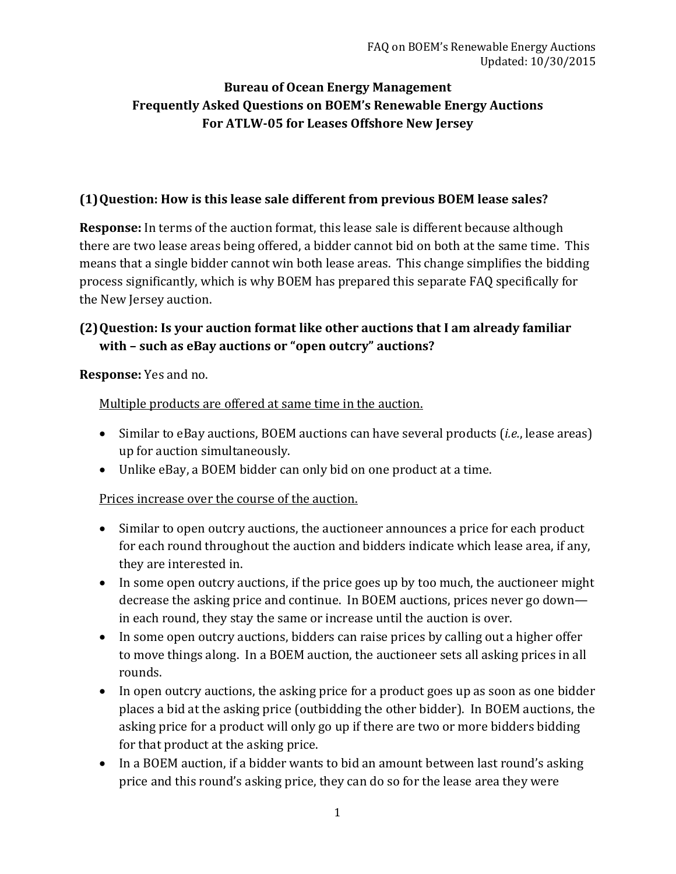## **Bureau of Ocean Energy Management Frequently Asked Questions on BOEM's Renewable Energy Auctions For ATLW-05 for Leases Offshore New Jersey**

#### **(1)Question: How is this lease sale different from previous BOEM lease sales?**

**Response:** In terms of the auction format, this lease sale is different because although there are two lease areas being offered, a bidder cannot bid on both at the same time. This means that a single bidder cannot win both lease areas. This change simplifies the bidding process significantly, which is why BOEM has prepared this separate FAQ specifically for the New Jersey auction.

#### **(2)Question: Is your auction format like other auctions that I am already familiar with – such as eBay auctions or "open outcry" auctions?**

**Response:** Yes and no.

Multiple products are offered at same time in the auction.

- Similar to eBay auctions, BOEM auctions can have several products (*i.e.*, lease areas) up for auction simultaneously.
- Unlike eBay, a BOEM bidder can only bid on one product at a time.

Prices increase over the course of the auction.

- Similar to open outcry auctions, the auctioneer announces a price for each product for each round throughout the auction and bidders indicate which lease area, if any, they are interested in.
- In some open outcry auctions, if the price goes up by too much, the auctioneer might decrease the asking price and continue. In BOEM auctions, prices never go down in each round, they stay the same or increase until the auction is over.
- In some open outcry auctions, bidders can raise prices by calling out a higher offer to move things along. In a BOEM auction, the auctioneer sets all asking prices in all rounds.
- In open outcry auctions, the asking price for a product goes up as soon as one bidder places a bid at the asking price (outbidding the other bidder). In BOEM auctions, the asking price for a product will only go up if there are two or more bidders bidding for that product at the asking price.
- In a BOEM auction, if a bidder wants to bid an amount between last round's asking price and this round's asking price, they can do so for the lease area they were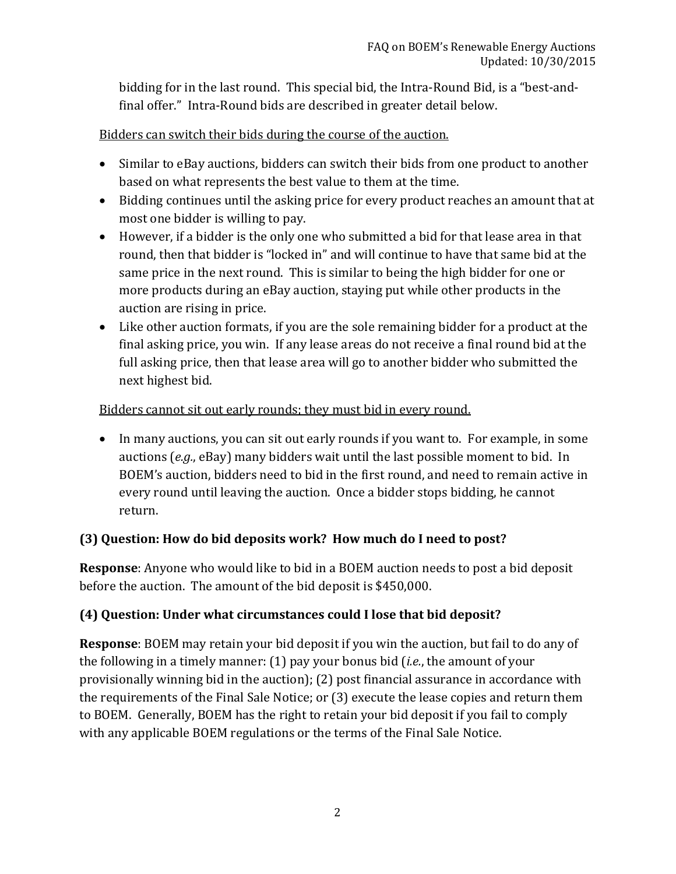bidding for in the last round. This special bid, the Intra-Round Bid, is a "best-andfinal offer." Intra-Round bids are described in greater detail below.

#### Bidders can switch their bids during the course of the auction.

- Similar to eBay auctions, bidders can switch their bids from one product to another based on what represents the best value to them at the time.
- Bidding continues until the asking price for every product reaches an amount that at most one bidder is willing to pay.
- However, if a bidder is the only one who submitted a bid for that lease area in that round, then that bidder is "locked in" and will continue to have that same bid at the same price in the next round. This is similar to being the high bidder for one or more products during an eBay auction, staying put while other products in the auction are rising in price.
- Like other auction formats, if you are the sole remaining bidder for a product at the final asking price, you win. If any lease areas do not receive a final round bid at the full asking price, then that lease area will go to another bidder who submitted the next highest bid.

## Bidders cannot sit out early rounds; they must bid in every round.

• In many auctions, you can sit out early rounds if you want to. For example, in some auctions (*e.g.*, eBay) many bidders wait until the last possible moment to bid. In BOEM's auction, bidders need to bid in the first round, and need to remain active in every round until leaving the auction. Once a bidder stops bidding, he cannot return.

## **(3) Question: How do bid deposits work? How much do I need to post?**

**Response**: Anyone who would like to bid in a BOEM auction needs to post a bid deposit before the auction. The amount of the bid deposit is \$450,000.

## **(4) Question: Under what circumstances could I lose that bid deposit?**

**Response**: BOEM may retain your bid deposit if you win the auction, but fail to do any of the following in a timely manner: (1) pay your bonus bid (*i.e.*, the amount of your provisionally winning bid in the auction); (2) post financial assurance in accordance with the requirements of the Final Sale Notice; or (3) execute the lease copies and return them to BOEM. Generally, BOEM has the right to retain your bid deposit if you fail to comply with any applicable BOEM regulations or the terms of the Final Sale Notice.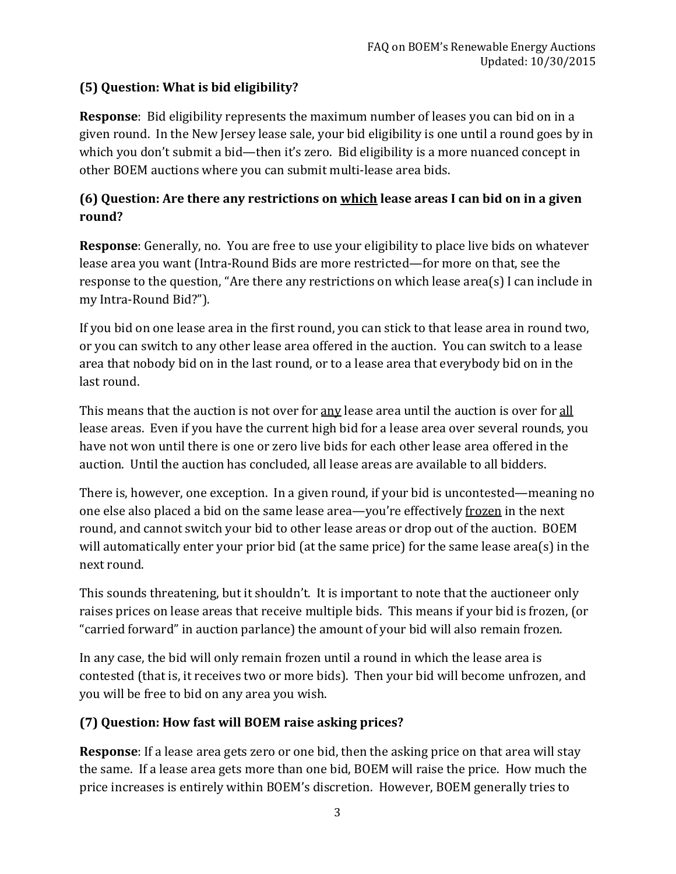# **(5) Question: What is bid eligibility?**

**Response**: Bid eligibility represents the maximum number of leases you can bid on in a given round. In the New Jersey lease sale, your bid eligibility is one until a round goes by in which you don't submit a bid—then it's zero. Bid eligibility is a more nuanced concept in other BOEM auctions where you can submit multi-lease area bids.

## **(6) Question: Are there any restrictions on which lease areas I can bid on in a given round?**

**Response**: Generally, no. You are free to use your eligibility to place live bids on whatever lease area you want (Intra-Round Bids are more restricted—for more on that, see the response to the question, "Are there any restrictions on which lease area(s) I can include in my Intra-Round Bid?").

If you bid on one lease area in the first round, you can stick to that lease area in round two, or you can switch to any other lease area offered in the auction. You can switch to a lease area that nobody bid on in the last round, or to a lease area that everybody bid on in the last round.

This means that the auction is not over for <u>any</u> lease area until the auction is over for all lease areas. Even if you have the current high bid for a lease area over several rounds, you have not won until there is one or zero live bids for each other lease area offered in the auction. Until the auction has concluded, all lease areas are available to all bidders.

There is, however, one exception. In a given round, if your bid is uncontested—meaning no one else also placed a bid on the same lease area—you're effectively frozen in the next round, and cannot switch your bid to other lease areas or drop out of the auction. BOEM will automatically enter your prior bid (at the same price) for the same lease area(s) in the next round.

This sounds threatening, but it shouldn't. It is important to note that the auctioneer only raises prices on lease areas that receive multiple bids. This means if your bid is frozen, (or "carried forward" in auction parlance) the amount of your bid will also remain frozen.

In any case, the bid will only remain frozen until a round in which the lease area is contested (that is, it receives two or more bids). Then your bid will become unfrozen, and you will be free to bid on any area you wish.

# **(7) Question: How fast will BOEM raise asking prices?**

**Response**: If a lease area gets zero or one bid, then the asking price on that area will stay the same. If a lease area gets more than one bid, BOEM will raise the price. How much the price increases is entirely within BOEM's discretion. However, BOEM generally tries to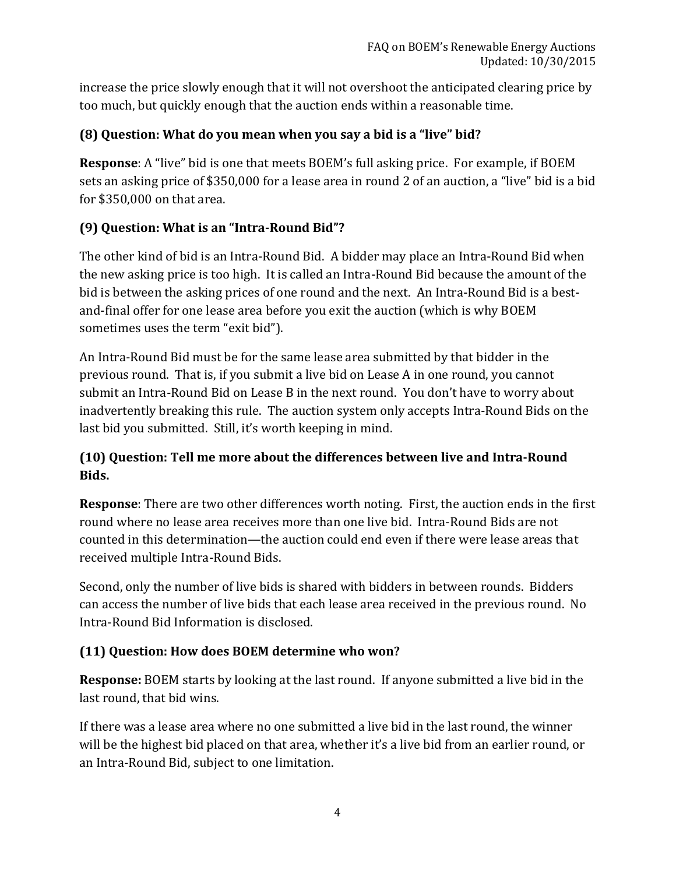increase the price slowly enough that it will not overshoot the anticipated clearing price by too much, but quickly enough that the auction ends within a reasonable time.

## **(8) Question: What do you mean when you say a bid is a "live" bid?**

**Response**: A "live" bid is one that meets BOEM's full asking price. For example, if BOEM sets an asking price of \$350,000 for a lease area in round 2 of an auction, a "live" bid is a bid for \$350,000 on that area.

# **(9) Question: What is an "Intra-Round Bid"?**

The other kind of bid is an Intra-Round Bid. A bidder may place an Intra-Round Bid when the new asking price is too high. It is called an Intra-Round Bid because the amount of the bid is between the asking prices of one round and the next. An Intra-Round Bid is a bestand-final offer for one lease area before you exit the auction (which is why BOEM sometimes uses the term "exit bid").

An Intra-Round Bid must be for the same lease area submitted by that bidder in the previous round. That is, if you submit a live bid on Lease A in one round, you cannot submit an Intra-Round Bid on Lease B in the next round. You don't have to worry about inadvertently breaking this rule. The auction system only accepts Intra-Round Bids on the last bid you submitted. Still, it's worth keeping in mind.

# **(10) Question: Tell me more about the differences between live and Intra-Round Bids.**

**Response**: There are two other differences worth noting. First, the auction ends in the first round where no lease area receives more than one live bid. Intra-Round Bids are not counted in this determination—the auction could end even if there were lease areas that received multiple Intra-Round Bids.

Second, only the number of live bids is shared with bidders in between rounds. Bidders can access the number of live bids that each lease area received in the previous round. No Intra-Round Bid Information is disclosed.

## **(11) Question: How does BOEM determine who won?**

**Response:** BOEM starts by looking at the last round. If anyone submitted a live bid in the last round, that bid wins.

If there was a lease area where no one submitted a live bid in the last round, the winner will be the highest bid placed on that area, whether it's a live bid from an earlier round, or an Intra-Round Bid, subject to one limitation.